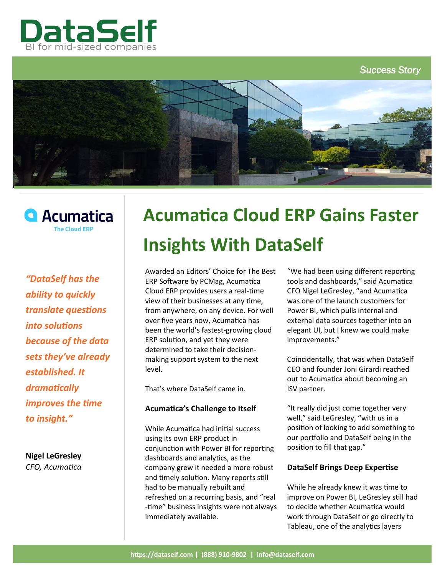

*Success Story* 





*"DataSelf has the ability to quickly translate questions into solutions because of the data sets they've already established. It dramatically improves the time to insight."*

**Nigel LeGresley**  *CFO, Acumatica*

# **Acumatica Cloud ERP Gains Faster Insights With DataSelf**

Awarded an Editors' Choice for [The Best](https://www.pcmag.com/roundup/346016/the-best-erp-software)  [ERP Software](https://www.pcmag.com/roundup/346016/the-best-erp-software) by PCMag, Acumatica Cloud ERP provides users a real-time view of their businesses at any time, from anywhere, on any device. For well over five years now, Acumatica has been the world's fastest-growing cloud ERP solution, and yet they were determined to take their decisionmaking support system to the next level.

That's where DataSelf came in.

# **Acumatica's Challenge to Itself**

While Acumatica had initial success using its own ERP product in conjunction with Power BI for reporting dashboards and analytics, as the company grew it needed a more robust and timely solution. Many reports still had to be manually rebuilt and refreshed on a recurring basis, and "real -time" business insights were not always immediately available.

"We had been using different reporting tools and dashboards," said Acumatica CFO Nigel LeGresley, "and Acumatica was one of the launch customers for Power BI, which pulls internal and external data sources together into an elegant UI, but I knew we could make improvements."

Coincidentally, that was when DataSelf CEO and founder Joni Girardi reached out to Acumatica about becoming an ISV partner.

"It really did just come together very well," said LeGresley, "with us in a position of looking to add something to our portfolio and DataSelf being in the position to fill that gap."

# **DataSelf Brings Deep Expertise**

While he already knew it was time to improve on Power BI, LeGresley still had to decide whether Acumatica would work through DataSelf or go directly to Tableau, one of the analytics layers